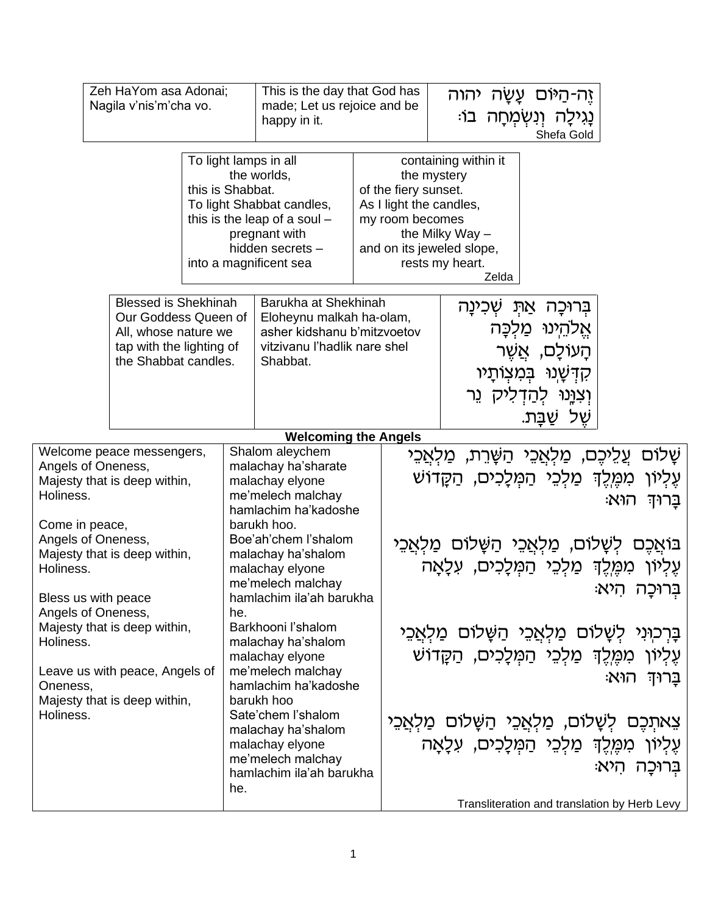|                                                                                                                                                                                                                                                                | Zeh HaYom asa Adonai;<br>Nagila v'nis'm'cha vo.                                                                                 |                  | happy in it.                                                                                                                                                                                                                                                         | This is the day that God has<br>made; Let us rejoice and be                                                     |                                         | יהוה<br>ַיָּה-הַיּוֹּם עַשַּׁה<br>נָגִילָה וְנִשְׂמְחָה בוֹ:<br>Shefa Gold                                                                                                                                                                                                                                                 |  |
|----------------------------------------------------------------------------------------------------------------------------------------------------------------------------------------------------------------------------------------------------------------|---------------------------------------------------------------------------------------------------------------------------------|------------------|----------------------------------------------------------------------------------------------------------------------------------------------------------------------------------------------------------------------------------------------------------------------|-----------------------------------------------------------------------------------------------------------------|-----------------------------------------|----------------------------------------------------------------------------------------------------------------------------------------------------------------------------------------------------------------------------------------------------------------------------------------------------------------------------|--|
|                                                                                                                                                                                                                                                                |                                                                                                                                 | this is Shabbat. | To light lamps in all<br>the worlds,<br>To light Shabbat candles,<br>this is the leap of a soul $-$<br>pregnant with<br>hidden secrets -<br>into a magnificent sea                                                                                                   |                                                                                                                 | of the fiery sunset.<br>my room becomes | containing within it<br>the mystery<br>As I light the candles,<br>the Milky Way $-$<br>and on its jeweled slope,<br>rests my heart.<br>Zelda                                                                                                                                                                               |  |
|                                                                                                                                                                                                                                                                | <b>Blessed is Shekhinah</b><br>Our Goddess Queen of<br>All, whose nature we<br>tap with the lighting of<br>the Shabbat candles. |                  | Shabbat.                                                                                                                                                                                                                                                             | Barukha at Shekhinah<br>Eloheynu malkah ha-olam,<br>asher kidshanu b'mitzvoetov<br>vitzivanu l'hadlik nare shel |                                         | אַתּ שְכִינָה<br>בְּרוּכַה<br>אַלהינוּ מַלכָּה<br>ְהָעוֹלָם, אֲשֶׁר<br>קדשנו במצותיו<br>וְצְוָּנוּ לְהַדִלִיק וֵר<br>ֹשֵׁל שֲבַּת.                                                                                                                                                                                         |  |
|                                                                                                                                                                                                                                                                |                                                                                                                                 |                  | <b>Welcoming the Angels</b>                                                                                                                                                                                                                                          |                                                                                                                 |                                         |                                                                                                                                                                                                                                                                                                                            |  |
| Welcome peace messengers,<br>Angels of Oneness,<br>Majesty that is deep within,<br>Holiness.<br>Come in peace,<br>Angels of Oneness,<br>Majesty that is deep within,<br>Holiness.<br>Bless us with peace<br>Angels of Oneness,<br>Majesty that is deep within, |                                                                                                                                 |                  | Shalom aleychem<br>malachay ha'sharate<br>malachay elyone<br>me'melech malchay<br>hamlachim ha'kadoshe<br>barukh hoo.<br>Boe'ah'chem l'shalom<br>malachay ha'shalom<br>malachay elyone<br>me'melech malchay<br>hamlachim ila'ah barukha<br>he.<br>Barkhooni l'shalom |                                                                                                                 |                                         | שַׁלוֹם<br>ַעֲלֵיכֶם, מַלְאֲכֵי הַשָּׁרֵת,<br>ַמַּלְאֲכֵי<br>מִמֶּלֶךְ מַלְכֵי הַמְּלָכִים, הַקָּדוֹשׁ<br>עַליון<br>ּהוּא<br>בַּרוּדְ<br>בּוֹאֲכֵם לִשָּׁלוֹם, מַלְאֲכֵי הַשָּׁלוֹם מַלְאֲכֵי<br>עֵלִיוֹן מִמֵּלֵךְ מַלְבֵי הַמְלָכִים, עִלָאָה<br>בְרוּכַה הִיא<br>בָּרִכְוּנִי לִשָּׁלוֹם מַלְאֲכֵי הַשָּׁלוֹם מַלְאֲכֵי |  |
| Holiness.<br>Leave us with peace, Angels of<br>Oneness,<br>Majesty that is deep within,<br>Holiness.                                                                                                                                                           |                                                                                                                                 |                  | malachay ha'shalom<br>malachay elyone<br>me'melech malchay<br>hamlachim ha'kadoshe<br>barukh hoo<br>Sate'chem l'shalom<br>malachay ha'shalom<br>malachay elyone<br>me'melech malchay<br>hamlachim ila'ah barukha<br>he.                                              |                                                                                                                 |                                         | עֶלְיוֹן מִמֶּלֶךְ מַלְכֵי הַמִּלָכִים, הַקֲדוֹשׁ<br>ַּבַרוּדְ הוּא<br>צַאתְכֶם לְשָׁלוֹם, מַלְאֲכֵי הַשָּׁלוֹם מַלְאֵכֵי<br>עֶלְיוֹן מִמֶּלֶךְ מַלְכֵי הַמְּלָכִים, עִלָאָה<br>בְּרוּכַה הִיא:<br>Transliteration and translation by Herb Levy                                                                            |  |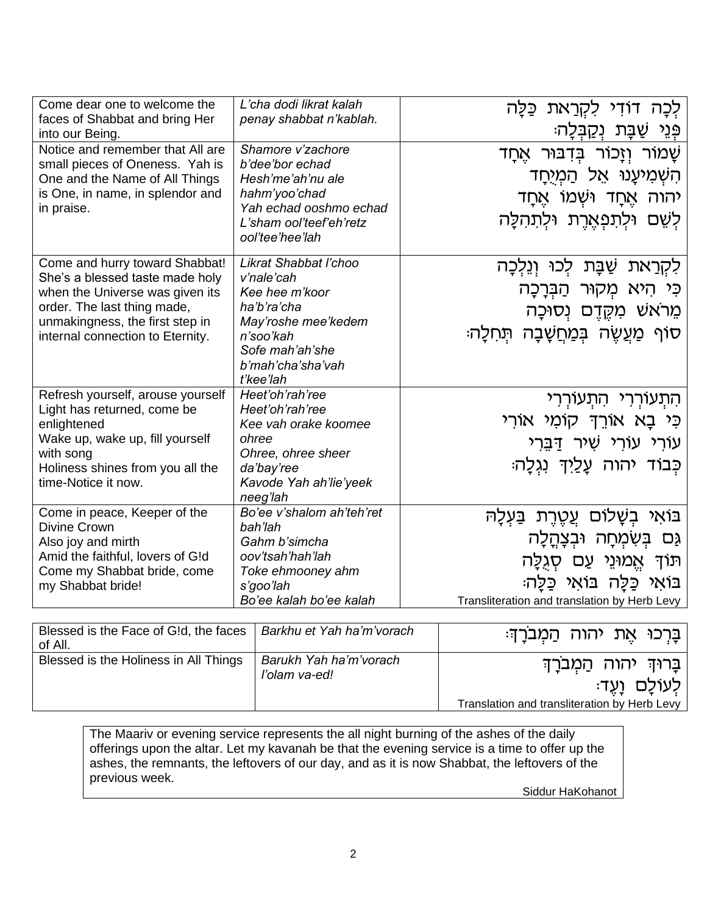| Come dear one to welcome the<br>faces of Shabbat and bring Her<br>into our Being.                                                                                                                          | L'cha dodi likrat kalah<br>penay shabbat n'kablah.                                                                                                            | לִכָּה דוֹדִי לִקְרַאת כַּלָּה<br>ְפְּנֵי שַׁבָּת נִקַבְּלָה:                                                                                                                           |
|------------------------------------------------------------------------------------------------------------------------------------------------------------------------------------------------------------|---------------------------------------------------------------------------------------------------------------------------------------------------------------|-----------------------------------------------------------------------------------------------------------------------------------------------------------------------------------------|
| Notice and remember that All are<br>small pieces of Oneness. Yah is<br>One and the Name of All Things<br>is One, in name, in splendor and<br>in praise.                                                    | Shamore v'zachore<br>b'dee'bor echad<br>Hesh'me'ah'nu ale<br>hahm'yoo'chad<br>Yah echad ooshmo echad<br>L'sham ool'teef'eh'retz<br>ool'tee'hee'lah            | ּשָׁמוֹר וְזָכוֹר בִּדְבּוּר אֵחָד<br>הִשְׁמְיעֲנוּ אֵל הַמְיָחַד<br>יהוה אֵחָד וּשָׁמוֹ א <u>ֵ</u> חַד<br>לִשֶׁם וּלְתִפְאֵרֵת וּלְתִהְלַה                                             |
| Come and hurry toward Shabbat!<br>She's a blessed taste made holy<br>when the Universe was given its<br>order. The last thing made,<br>unmakingness, the first step in<br>internal connection to Eternity. | Likrat Shabbat l'choo<br>v'nale'cah<br>Kee hee m'koor<br>ha'b'ra'cha<br>May'roshe mee'kedem<br>n'soo'kah<br>Sofe mah'ah'she<br>b'mah'cha'sha'vah<br>t'kee'lah | ּשַׁבַּת לִכוּ וְנֵלְכָה<br>ִלִקְרַאת<br>כִּי הִיא מִקוּר הַבְּרָכָה<br>מֵרֹאשׁ מִקֵּדֵם נִסוּכָה<br>ּסוֹף מַעֵשֵׂה בִּמַחֲשָׁבָה תִּחְלָה <del>ּ</del>                                 |
| Refresh yourself, arouse yourself<br>Light has returned, come be<br>enlightened<br>Wake up, wake up, fill yourself<br>with song<br>Holiness shines from you all the<br>time-Notice it now.                 | Heet'oh'rah'ree<br>Heet'oh'rah'ree<br>Kee vah orake koomee<br>ohree<br>Ohree, ohree sheer<br>da'bay'ree<br>Kavode Yah ah'lie'yeek<br>neeg'lah                 | התעוררי התעוררי<br>כִּי בָא אוֹרֵךְ קוֹמִי אוֹרִי<br>עורי עורי שיר <u>דּב</u> ּרי<br>ּכִּבוֹד יהוה עַלַיִךְ נְגְלַה                                                                     |
| Come in peace, Keeper of the<br><b>Divine Crown</b><br>Also joy and mirth<br>Amid the faithful, lovers of G!d<br>Come my Shabbat bride, come<br>my Shabbat bride!                                          | Bo'ee v'shalom ah'teh'ret<br>bah'lah<br>Gahm b'simcha<br>oov'tsah'hah'lah<br>Toke ehmooney ahm<br>s'goo'lah<br>Bo'ee kalah bo'ee kalah                        | ּבּוֹאִי בִשָּׁלוֹם עֵטֵרֵת בַּעָלָה<br>גַּם בִּשְׁמְחָה וּבִצָּהֲלָה<br>ּתּוֹדְ אֵמוּנֵי עַם סְגְלַה<br>ּבּוֹאִי כַּלַה בּוֹאִי כַּלָה<br>Transliteration and translation by Herb Levy |

| Blessed is the Face of G!d, the faces<br>of All. | Barkhu et Yah ha'm'vorach               | ַבָּרְכוּ אֵת יהוה הַמְבֹּרָךָ:                                                               |
|--------------------------------------------------|-----------------------------------------|-----------------------------------------------------------------------------------------------|
| Blessed is the Holiness in All Things            | Barukh Yah ha'm'vorach<br>l'olam va-ed! | ַבָּרוּדְ יהוה הַמְבֹרַדְ<br>ּלְעוֹלַם וַעֲדָ<br>Translation and transliteration by Herb Levy |

The Maariv or evening service represents the all night burning of the ashes of the daily offerings upon the altar. Let my kavanah be that the evening service is a time to offer up the ashes, the remnants, the leftovers of our day, and as it is now Shabbat, the leftovers of the previous week.

Siddur HaKohanot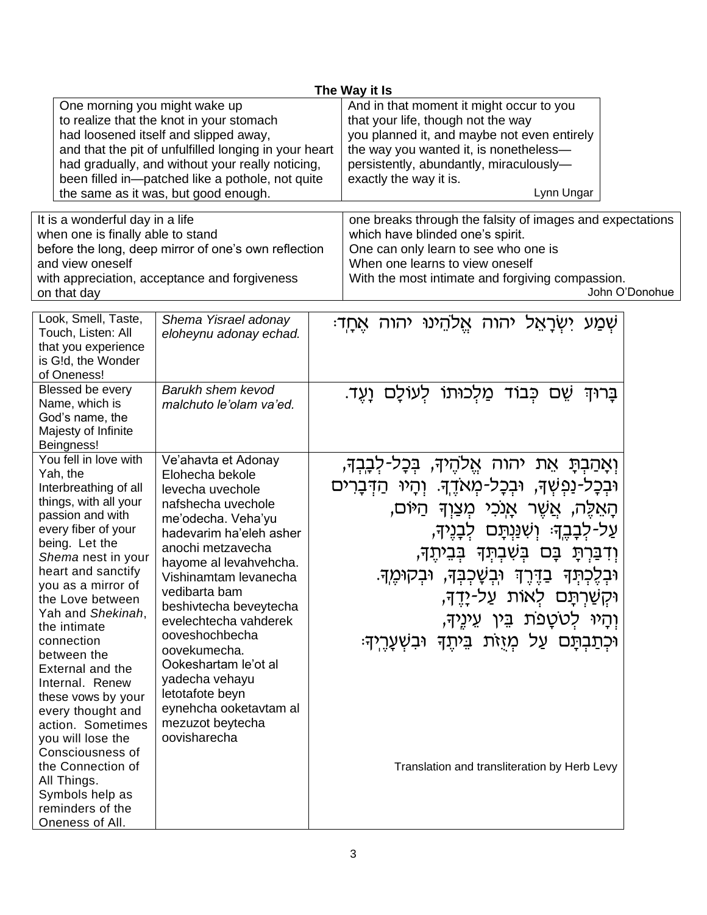|                                                                                                                                                                                                                                                                                                                                                                                                                                                          |                                                                                                                                                                                                                                                                                                                                                                                                                                            |  | The Way it Is                                                                                                                                                                                                                                                                                                                                                                                                                                      |
|----------------------------------------------------------------------------------------------------------------------------------------------------------------------------------------------------------------------------------------------------------------------------------------------------------------------------------------------------------------------------------------------------------------------------------------------------------|--------------------------------------------------------------------------------------------------------------------------------------------------------------------------------------------------------------------------------------------------------------------------------------------------------------------------------------------------------------------------------------------------------------------------------------------|--|----------------------------------------------------------------------------------------------------------------------------------------------------------------------------------------------------------------------------------------------------------------------------------------------------------------------------------------------------------------------------------------------------------------------------------------------------|
| One morning you might wake up                                                                                                                                                                                                                                                                                                                                                                                                                            | to realize that the knot in your stomach<br>had loosened itself and slipped away,<br>and that the pit of unfulfilled longing in your heart<br>had gradually, and without your really noticing,<br>been filled in-patched like a pothole, not quite<br>the same as it was, but good enough.                                                                                                                                                 |  | And in that moment it might occur to you<br>that your life, though not the way<br>you planned it, and maybe not even entirely<br>the way you wanted it, is nonetheless-<br>persistently, abundantly, miraculously-<br>exactly the way it is.<br>Lynn Ungar                                                                                                                                                                                         |
| It is a wonderful day in a life<br>when one is finally able to stand<br>before the long, deep mirror of one's own reflection<br>and view oneself<br>with appreciation, acceptance and forgiveness<br>on that day                                                                                                                                                                                                                                         |                                                                                                                                                                                                                                                                                                                                                                                                                                            |  | one breaks through the falsity of images and expectations<br>which have blinded one's spirit.<br>One can only learn to see who one is<br>When one learns to view oneself<br>With the most intimate and forgiving compassion.<br>John O'Donohue                                                                                                                                                                                                     |
| Look, Smell, Taste,<br>Touch, Listen: All<br>that you experience<br>is G!d, the Wonder<br>of Oneness!                                                                                                                                                                                                                                                                                                                                                    | Shema Yisrael adonay<br>eloheynu adonay echad.                                                                                                                                                                                                                                                                                                                                                                                             |  | ַיִּשְׂרַאֵל יהוה אֵלהֵינוּ יהוה אֵחֲדִ<br>שְמַע                                                                                                                                                                                                                                                                                                                                                                                                   |
| Blessed be every<br>Name, which is<br>God's name, the<br>Majesty of Infinite<br>Beingness!                                                                                                                                                                                                                                                                                                                                                               | Barukh shem kevod<br>malchuto le'olam va'ed.                                                                                                                                                                                                                                                                                                                                                                                               |  | ֹשֵׁם כִּבוֹד מַלְכוּתוֹ לְעוֹלָם וַעֵּד.<br>בַּרוּדִ                                                                                                                                                                                                                                                                                                                                                                                              |
| You fell in love with<br>Yah, the<br>Interbreathing of all<br>things, with all your<br>passion and with<br>every fiber of your<br>being. Let the<br>Shema nest in your<br>heart and sanctify<br>you as a mirror of<br>the Love between<br>Yah and Shekinah,<br>the intimate<br>connection<br>between the<br>External and the<br>Internal. Renew<br>these vows by your<br>every thought and<br>action. Sometimes<br>you will lose the<br>Consciousness of | Ve'ahavta et Adonay<br>Elohecha bekole<br>levecha uvechole<br>nafshecha uvechole<br>me'odecha. Veha'yu<br>hadevarim ha'eleh asher<br>anochi metzavecha<br>hayome al levahvehcha.<br>Vishinamtam levanecha<br>vedibarta bam<br>beshivtecha beveytecha<br>evelechtecha vahderek<br>ooveshochbecha<br>oovekumecha.<br>Ookeshartam le'ot al<br>yadecha vehayu<br>letotafote beyn<br>eynehcha ooketavtam al<br>mezuzot beytecha<br>oovisharecha |  | וְאָהַבִתָּ אֵת יהוה אֵלהֵיךָ, בִּכָל-לִבְבִךָ,<br>וּבִכָּל-נַפִּשִׁךָּ, וּבִכָּל-מִאֹדֵךְּ. וִהָיוּ הַדִּבָרִים<br>ְהָאֵלֵה, אֲשֵׁר אָנְכִי מִצַוִךְ הַיּוֹם,<br>ּעַל-לְבָבֶךָּ׃ וְשִׁנַּנְתָּם לְבָנֶיךָ,<br>וְדִבַּרְתָּ בָּם בְּשִׁבְתְּךָ בְּבֵיתֶךְ,<br>וּבְלֶכְתְּךָ בַדֶּרֶךְ וּבְשָׁכְבְּךָ, וּבְקוּמֶךָ.<br>וּקְשַׁרְתָּם לְאוֹת עַל-יָדֶךָ,<br>וִהָיוּ לְטֹטָפֹת בֵּין עֵינֵיךָ,<br>וּכִתַּבְתָּם עַל מִזָּזֶת בֵּיתֵךְ וּבִשְׁעָרֵיךָ: |
| the Connection of<br>All Things.<br>Symbols help as<br>reminders of the<br>Oneness of All.                                                                                                                                                                                                                                                                                                                                                               |                                                                                                                                                                                                                                                                                                                                                                                                                                            |  | Translation and transliteration by Herb Levy                                                                                                                                                                                                                                                                                                                                                                                                       |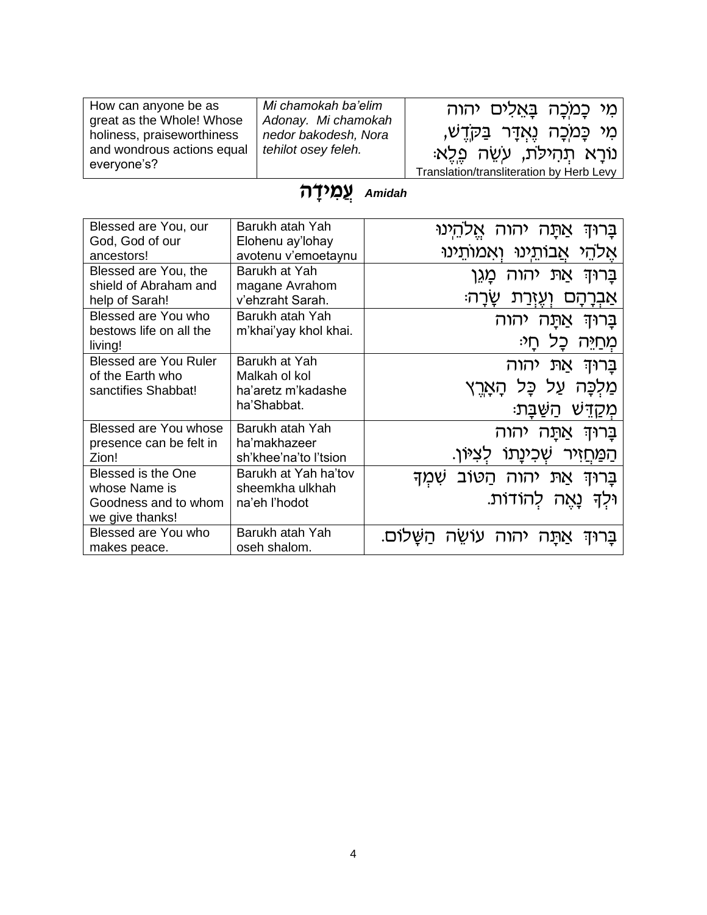| How can anyone be as<br>great as the Whole! Whose | Mi chamokah ba'elim<br>Adonay. Mi chamokah | מִי כָּמִכָּה בָּאֲלִים יהוה             |
|---------------------------------------------------|--------------------------------------------|------------------------------------------|
| holiness, praiseworthiness                        | nedor bakodesh, Nora                       | מִי כַּמְכָה נֵאַדָּר בַּקָדֵש,          |
| and wondrous actions equal                        | tehilot osey feleh.                        | ּנוֹרַא תְהִילֹת, עִשֶׂה פֶלֵא           |
| everyone's?                                       |                                            | Translation/transliteration by Herb Levy |

## **Amidah** עֲמ<sup>ַרְ</sup>דָה

| Blessed are You, our<br>God, God of our                  | Barukh atah Yah<br>Elohenu ay'lohay   | ֿהינו<br>אַתַּה יהוה<br>בַּרוּד          |
|----------------------------------------------------------|---------------------------------------|------------------------------------------|
| ancestors!                                               | avotenu v'emoetaynu                   | אלהי אבותינו ואמותינו                    |
| Blessed are You, the<br>shield of Abraham and            | Barukh at Yah<br>magane Avrahom       | יהוה<br>JΠN<br>מֵגֵן<br>ברוּד            |
| help of Sarah!                                           | v'ehzraht Sarah.                      | שרה:<br>אַבְרָהָם<br>וְעֵזְרַת           |
| Blessed are You who<br>bestows life on all the           | Barukh atah Yah                       | בַּרוּדִ<br>יהוה<br>אתּה                 |
| living!                                                  | m'khai'yay khol khai.                 | מְחַיִּה<br>ּחַי<br>כָל                  |
| <b>Blessed are You Ruler</b>                             | Barukh at Yah                         | את יהוה<br>ברוּד                         |
| of the Earth who<br>sanctifies Shabbat!                  | Malkah ol kol<br>ha'aretz m'kadashe   | מַלִכַּה עַל כָּל הָאָרֱץ                |
|                                                          | ha'Shabbat.                           | מִקַדִּש<br>ּהשִׁבּת                     |
| Blessed are You whose                                    | Barukh atah Yah                       | יהוה<br>אתּה<br>בַּרוּדִ                 |
| presence can be felt in<br>Zion!                         | ha'makhazeer<br>sh'khee'na'to l'tsion | <u>שְׁכִינַתוֹ</u><br><u>הַמַּח</u> זִיר |
| <b>Blessed is the One</b>                                | Barukh at Yah ha'tov                  | בַּרוּךְ אַתּ יהוה הַטּוֹב<br>ֿשָׁמְד    |
| whose Name is<br>Goodness and to whom<br>we give thanks! | sheemkha ulkhah<br>na'eh l'hodot      | וּלִךְ נַאֲה להוֹדוֹת.                   |
| Blessed are You who<br>makes peace.                      | Barukh atah Yah<br>oseh shalom.       | יהוה<br>אתּה<br>ברוד                     |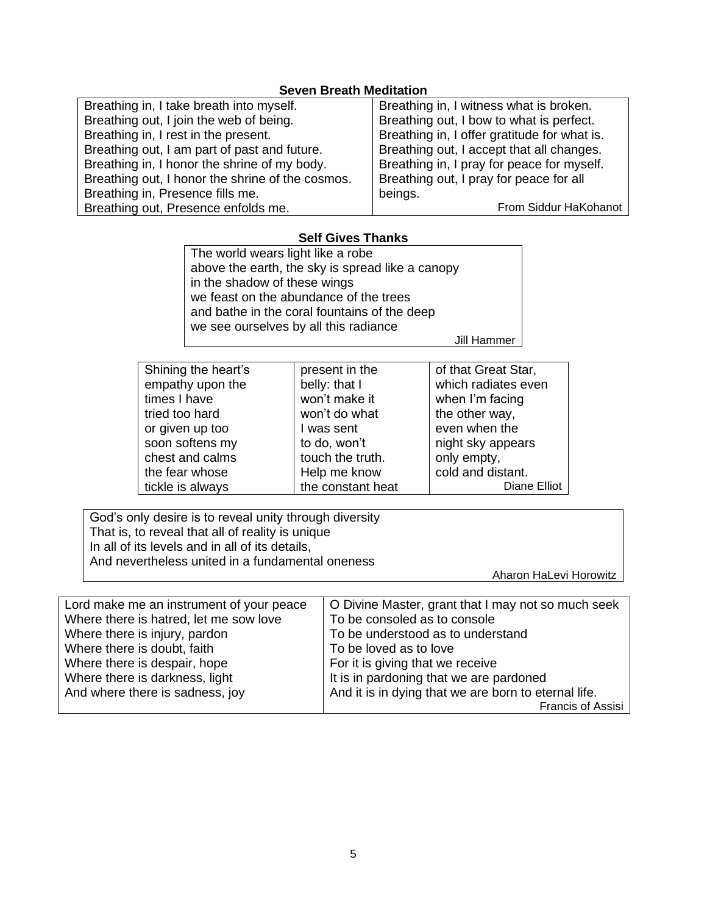## **Seven Breath Meditation**

| Breathing in, I take breath into myself.         | Breathing in, I witness what is broken.      |
|--------------------------------------------------|----------------------------------------------|
| Breathing out, I join the web of being.          | Breathing out, I bow to what is perfect.     |
| Breathing in, I rest in the present.             | Breathing in, I offer gratitude for what is. |
| Breathing out, I am part of past and future.     | Breathing out, I accept that all changes.    |
| Breathing in, I honor the shrine of my body.     | Breathing in, I pray for peace for myself.   |
| Breathing out, I honor the shrine of the cosmos. | Breathing out, I pray for peace for all      |
| Breathing in, Presence fills me.                 | beings.                                      |
| Breathing out, Presence enfolds me.              | From Siddur HaKohanot                        |

## **Self Gives Thanks**

| The world wears light like a robe                |
|--------------------------------------------------|
| above the earth, the sky is spread like a canopy |
| in the shadow of these wings                     |
| we feast on the abundance of the trees           |
| and bathe in the coral fountains of the deep     |
| we see ourselves by all this radiance            |

Jill Hammer

| Shining the heart's | present in the    | of that Great Star, |
|---------------------|-------------------|---------------------|
| empathy upon the    | belly: that I     | which radiates even |
| times I have        | won't make it     | when I'm facing     |
| tried too hard      | won't do what     | the other way,      |
| or given up too     | I was sent        | even when the       |
| soon softens my     | to do, won't      | night sky appears   |
| chest and calms     | touch the truth.  | only empty,         |
| the fear whose      | Help me know      | cold and distant.   |
| tickle is always    | the constant heat | Diane Elliot        |
|                     |                   |                     |

God's only desire is to reveal unity through diversity That is, to reveal that all of reality is unique In all of its levels and in all of its details, And nevertheless united in a fundamental oneness

Aharon HaLevi Horowitz

| Lord make me an instrument of your peace | O Divine Master, grant that I may not so much seek   |
|------------------------------------------|------------------------------------------------------|
| Where there is hatred, let me sow love   | To be consoled as to console                         |
| Where there is injury, pardon            | To be understood as to understand                    |
| Where there is doubt, faith              | To be loved as to love                               |
| Where there is despair, hope             | For it is giving that we receive                     |
| Where there is darkness, light           | It is in pardoning that we are pardoned              |
| And where there is sadness, joy          | And it is in dying that we are born to eternal life. |
|                                          | Francis of Assisi                                    |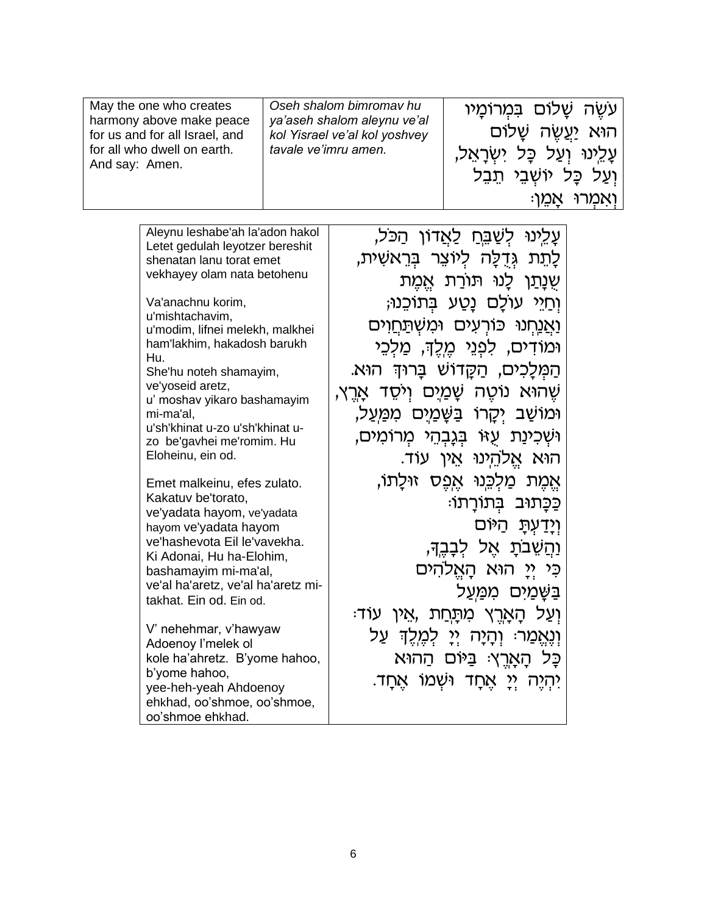| May the one who creates                                    | Oseh shalom bimromav hu                                      | עשה שַלוֹם בִּמְרוֹמָיו         |
|------------------------------------------------------------|--------------------------------------------------------------|---------------------------------|
| harmony above make peace<br>for us and for all Israel, and | ya'aseh shalom aleynu ve'al<br>kol Yisrael ve'al kol yoshvey | הוּא <u>יִע</u> ַשָׂה שָׁלוֹם   |
| for all who dwell on earth.<br>And say: Amen.              | tavale ve'imru amen.                                         | עַלֵינוּ וְעַל כָּל יִשְׁרָאֵל, |
|                                                            |                                                              | וִעַל כָּל יוֹשָׁבֵי תֵבֵל      |
|                                                            |                                                              | ּוְאמְרוּ אֲמֵן                 |

| Aleynu leshabe'ah la'adon hakol                             | <u>עָלֵינוּ לִשַׁבֵּחַ לַאֲ</u> דוֹן הַכֹּל,    |
|-------------------------------------------------------------|-------------------------------------------------|
| Letet gedulah leyotzer bereshit<br>shenatan lanu torat emet | ָלָתֵת גִּדְלָה לִיוֹצֵר בִּרֵאשִׁית,           |
| vekhayey olam nata betohenu                                 |                                                 |
|                                                             | שְנָתַן לָנוּ תּוֹרַת אֱמֶת                     |
| Va'anachnu korim,<br>u'mishtachavim,                        | ּוְחַיֵּי עוֹלֵם נַטֲע בְּתוֹכֵנוּ;             |
| u'modim, lifnei melekh, malkhei                             | <u>וַאֲנַחְנוּ כּ</u> וֹרְעִים וּמְשָׁתַּחֲוִים |
| ham'lakhim, hakadosh barukh                                 | וּמוֹדִים, לִפְנֵי מֵלֵךָ, מַלִכֵי              |
| Hu.<br>She'hu noteh shamayim,                               | ְהַמְּלַכְים, הַקֵּדוֹשׁ בַּרוּדְּ הוּא.        |
| ve'yoseid aretz,                                            |                                                 |
| u' moshav yikaro bashamayim                                 | ֹשֵׂהוּא נוֹטֵה שָׁמַיָם וִיֹּסֵד אַרֵץ,        |
| mi-ma'al,<br>u'sh'khinat u-zo u'sh'khinat u-                | וּמוֹשַׁב יִקָרוֹ בַּשֶּׁמַיָם מִמַּעַל,        |
| zo be'gavhei me'romim. Hu                                   | וּשִׁכִינַת עָזוּ בִּגְבְהֵי מִרוֹמִים,         |
| Eloheinu, ein od.                                           | הוא אֱלהֵינוּ אֵין עוֹד.                        |
| Emet malkeinu, efes zulato.                                 | אֵמֵת מַלִכֵּנוּ אֵפֵס זוּלַתוֹ,                |
| Kakatuv be'torato,                                          |                                                 |
| ve'yadata hayom, ve'yadata                                  | כַּכָּתוּב בִּתוֹרָתוֹ:                         |
| hayom ve'yadata hayom                                       | <u>וְיַדְעָתַ</u> הַיּוֹם                       |
| ve'hashevota Eil le'vavekha.<br>Ki Adonai, Hu ha-Elohim,    | ּוַהֲשֵׁבֹתָ אֵל לִבָּבֵךְ,                     |
| bashamayim mi-ma'al,                                        | כִּי יִי הוּא הָאֵלהִים                         |
| ve'al ha'aretz, ve'al ha'aretz mi-                          | ַבַּשֶּׁמַיִּם מִמַּעַל                         |
| takhat. Ein od. Ein od.                                     |                                                 |
| V' nehehmar, v'hawyaw                                       | ּוְעַל הָאָרֵץ מִתַּחַת ,אֵין עוֹד              |
| Adoenoy l'melek ol                                          | וְנֶאֱמַרּ: וְהָיָה יְיָ לְמֶלֵךְ עַל           |
| kole ha'ahretz. B'yome hahoo,                               | כָּל הָאָרֵץ: בַּיּוֹם הַהוּא                   |
| b'yome hahoo,                                               | ַיְהָיֵה יִי אֲחָד וּשָׁמוֹ אֵחַד.              |
| yee-heh-yeah Ahdoenoy<br>ehkhad, oo'shmoe, oo'shmoe,        |                                                 |
| oo'shmoe ehkhad.                                            |                                                 |